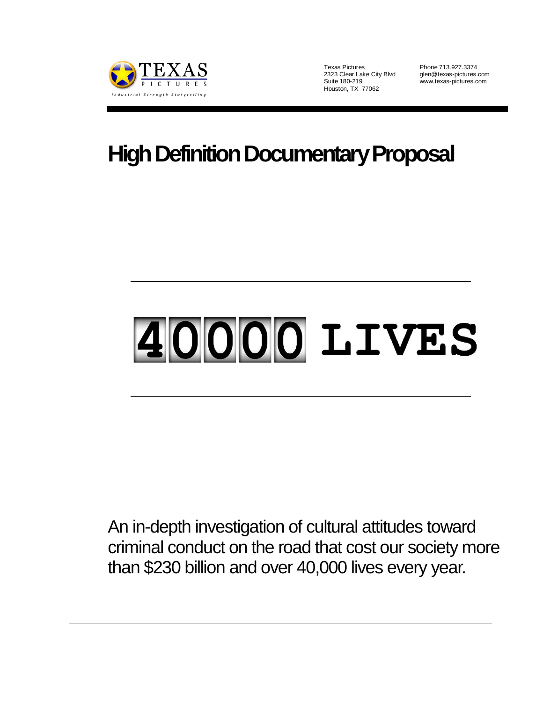

Texas Pictures Phone 713.927.3374<br>2323 Clear Lake City Blvd glen@texas-pictures.com 2323 Clear Lake City Blvd<br>Suite 180-219 Houston, TX 77062

www.texas-pictures.com

# **High Definition Documentary Proposal**

# 40000 LIVES

An in-depth investigation of cultural attitudes toward criminal conduct on the road that cost our society more than \$230 billion and over 40,000 lives every year.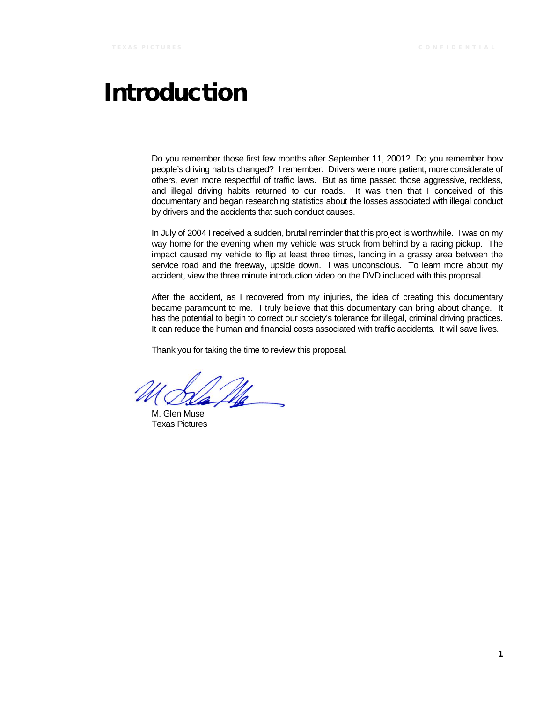# Introduction

Do you remember those first few months after September 11, 2001? Do you remember how people's driving habits changed? I remember. Drivers were more patient, more considerate of others, even more respectful of traffic laws. But as time passed those aggressive, reckless, and illegal driving habits returned to our roads. It was then that I conceived of this documentary and began researching statistics about the losses associated with illegal conduct by drivers and the accidents that such conduct causes.

In July of 2004 I received a sudden, brutal reminder that this project is worthwhile. I was on my way home for the evening when my vehicle was struck from behind by a racing pickup. The impact caused my vehicle to flip at least three times, landing in a grassy area between the service road and the freeway, upside down. I was unconscious. To learn more about my accident, view the three minute introduction video on the DVD included with this proposal.

After the accident, as I recovered from my injuries, the idea of creating this documentary became paramount to me. I truly believe that this documentary can bring about change. It has the potential to begin to correct our society's tolerance for illegal, criminal driving practices. It can reduce the human and financial costs associated with traffic accidents. It will save lives.

Thank you for taking the time to review this proposal.

M. Glen Muse Texas Pictures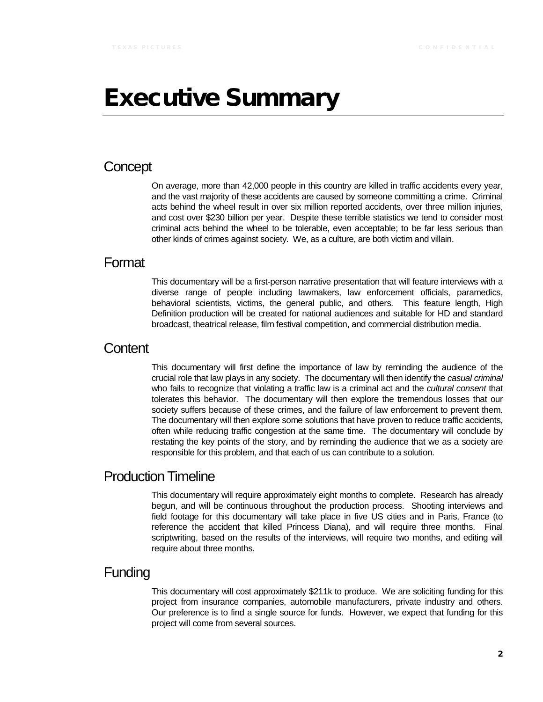# Executive Summary

### **Concept**

On average, more than 42,000 people in this country are killed in traffic accidents every year, and the vast majority of these accidents are caused by someone committing a crime. Criminal acts behind the wheel result in over six million reported accidents, over three million injuries, and cost over \$230 billion per year. Despite these terrible statistics we tend to consider most criminal acts behind the wheel to be tolerable, even acceptable; to be far less serious than other kinds of crimes against society. We, as a culture, are both victim and villain.

### Format

This documentary will be a first-person narrative presentation that will feature interviews with a diverse range of people including lawmakers, law enforcement officials, paramedics, behavioral scientists, victims, the general public, and others. This feature length, High Definition production will be created for national audiences and suitable for HD and standard broadcast, theatrical release, film festival competition, and commercial distribution media.

### **Content**

This documentary will first define the importance of law by reminding the audience of the crucial role that law plays in any society. The documentary will then identify the *casual criminal* who fails to recognize that violating a traffic law is a criminal act and the *cultural consent* that tolerates this behavior. The documentary will then explore the tremendous losses that our society suffers because of these crimes, and the failure of law enforcement to prevent them. The documentary will then explore some solutions that have proven to reduce traffic accidents, often while reducing traffic congestion at the same time. The documentary will conclude by restating the key points of the story, and by reminding the audience that we as a society are responsible for this problem, and that each of us can contribute to a solution.

# Production Timeline

This documentary will require approximately eight months to complete. Research has already begun, and will be continuous throughout the production process. Shooting interviews and field footage for this documentary will take place in five US cities and in Paris, France (to reference the accident that killed Princess Diana), and will require three months. Final scriptwriting, based on the results of the interviews, will require two months, and editing will require about three months.

# Funding

This documentary will cost approximately \$211k to produce. We are soliciting funding for this project from insurance companies, automobile manufacturers, private industry and others. Our preference is to find a single source for funds. However, we expect that funding for this project will come from several sources.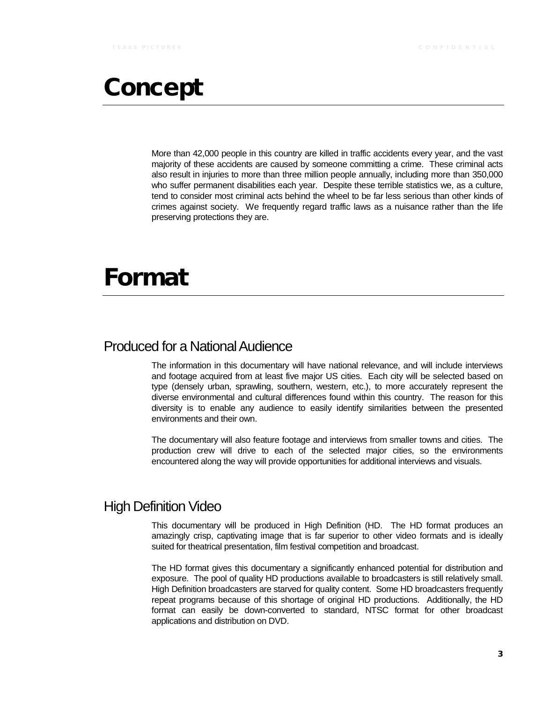# **Concept**

More than 42,000 people in this country are killed in traffic accidents every year, and the vast majority of these accidents are caused by someone committing a crime. These criminal acts also result in injuries to more than three million people annually, including more than 350,000 who suffer permanent disabilities each year. Despite these terrible statistics we, as a culture, tend to consider most criminal acts behind the wheel to be far less serious than other kinds of crimes against society. We frequently regard traffic laws as a nuisance rather than the life preserving protections they are.

# Format

# Produced for a National Audience

The information in this documentary will have national relevance, and will include interviews and footage acquired from at least five major US cities. Each city will be selected based on type (densely urban, sprawling, southern, western, etc.), to more accurately represent the diverse environmental and cultural differences found within this country. The reason for this diversity is to enable any audience to easily identify similarities between the presented environments and their own.

The documentary will also feature footage and interviews from smaller towns and cities. The production crew will drive to each of the selected major cities, so the environments encountered along the way will provide opportunities for additional interviews and visuals.

# High Definition Video

This documentary will be produced in High Definition (HD. The HD format produces an amazingly crisp, captivating image that is far superior to other video formats and is ideally suited for theatrical presentation, film festival competition and broadcast.

The HD format gives this documentary a significantly enhanced potential for distribution and exposure. The pool of quality HD productions available to broadcasters is still relatively small. High Definition broadcasters are starved for quality content. Some HD broadcasters frequently repeat programs because of this shortage of original HD productions. Additionally, the HD format can easily be down-converted to standard, NTSC format for other broadcast applications and distribution on DVD.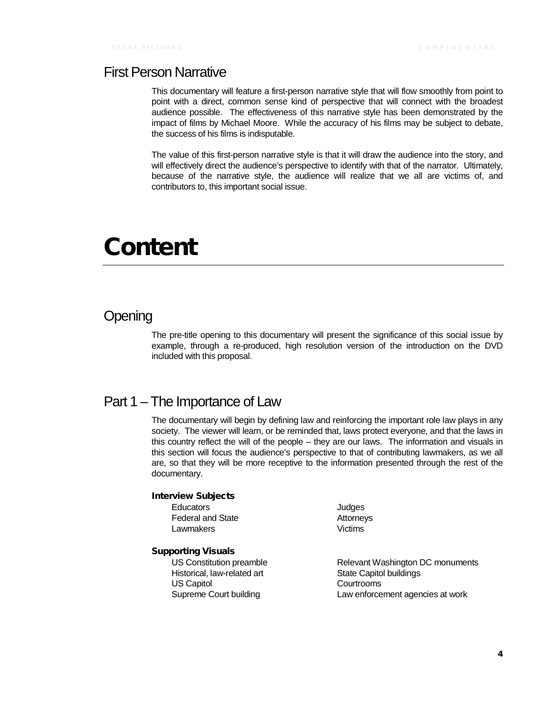### First Person Narrative

This documentary will feature a first-person narrative style that will flow smoothly from point to point with a direct, common sense kind of perspective that will connect with the broadest audience possible. The effectiveness of this narrative style has been demonstrated by the impact of films by Michael Moore. While the accuracy of his films may be subject to debate, the success of his films is indisputable.

The value of this first-person narrative style is that it will draw the audience into the story, and will effectively direct the audience's perspective to identify with that of the narrator. Ultimately, because of the narrative style, the audience will realize that we all are victims of, and contributors to, this important social issue.

# **Content**

### **Opening**

The pre-title opening to this documentary will present the significance of this social issue by example, through a re-produced, high resolution version of the introduction on the DVD included with this proposal.

# Part 1 – The Importance of Law

The documentary will begin by defining law and reinforcing the important role law plays in any society. The viewer will learn, or be reminded that, laws protect everyone, and that the laws in this country reflect the will of the people – they are our laws. The information and visuals in this section will focus the audience's perspective to that of contributing lawmakers, as we all are, so that they will be more receptive to the information presented through the rest of the documentary.

#### Interview Subjects

| Educators                |  |
|--------------------------|--|
| <b>Federal and State</b> |  |
| Lawmakers                |  |

#### Supporting Visuals

US Constitution preamble Historical, law-related art US Capitol Supreme Court building

Judges Attorneys Victims

Relevant Washington DC monuments State Capitol buildings **Courtrooms** Law enforcement agencies at work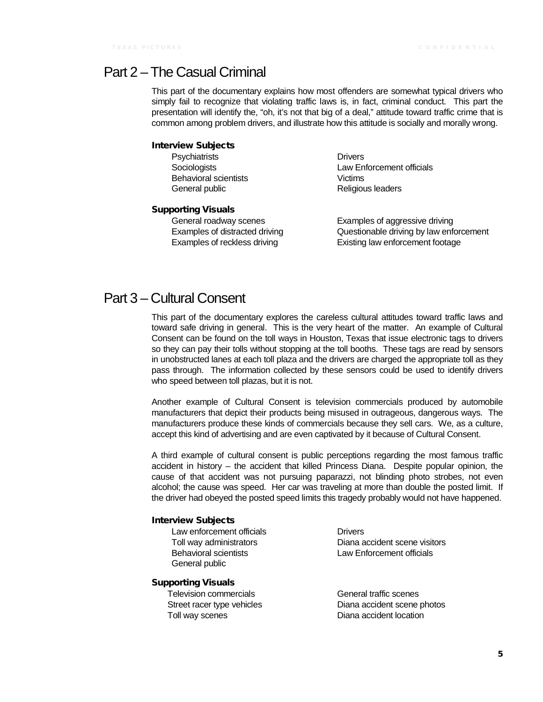# Part 2 – The Casual Criminal

This part of the documentary explains how most offenders are somewhat typical drivers who simply fail to recognize that violating traffic laws is, in fact, criminal conduct. This part the presentation will identify the, "oh, it's not that big of a deal," attitude toward traffic crime that is common among problem drivers, and illustrate how this attitude is socially and morally wrong.

#### Interview Subjects

| <b>Psychiatrists</b>         | <b>Drivers</b>   |
|------------------------------|------------------|
| Sociologists                 | Law Enforcemer   |
| <b>Behavioral scientists</b> | Victims          |
| General public               | Religious leader |
|                              |                  |

#### Supporting Visuals

General roadway scenes Examples of distracted driving Examples of reckless driving

nt officials Religious leaders

Examples of aggressive driving Questionable driving by law enforcement Existing law enforcement footage

# Part 3 – Cultural Consent

This part of the documentary explores the careless cultural attitudes toward traffic laws and toward safe driving in general. This is the very heart of the matter. An example of Cultural Consent can be found on the toll ways in Houston, Texas that issue electronic tags to drivers so they can pay their tolls without stopping at the toll booths. These tags are read by sensors in unobstructed lanes at each toll plaza and the drivers are charged the appropriate toll as they pass through. The information collected by these sensors could be used to identify drivers who speed between toll plazas, but it is not.

Another example of Cultural Consent is television commercials produced by automobile manufacturers that depict their products being misused in outrageous, dangerous ways. The manufacturers produce these kinds of commercials because they sell cars. We, as a culture, accept this kind of advertising and are even captivated by it because of Cultural Consent.

A third example of cultural consent is public perceptions regarding the most famous traffic accident in history – the accident that killed Princess Diana. Despite popular opinion, the cause of that accident was not pursuing paparazzi, not blinding photo strobes, not even alcohol; the cause was speed. Her car was traveling at more than double the posted limit. If the driver had obeyed the posted speed limits this tragedy probably would not have happened.

#### Interview Subjects

Law enforcement officials Toll way administrators Behavioral scientists General public

#### Supporting Visuals

Television commercials Street racer type vehicles Toll way scenes

**Drivers** Diana accident scene visitors Law Enforcement officials

General traffic scenes Diana accident scene photos Diana accident location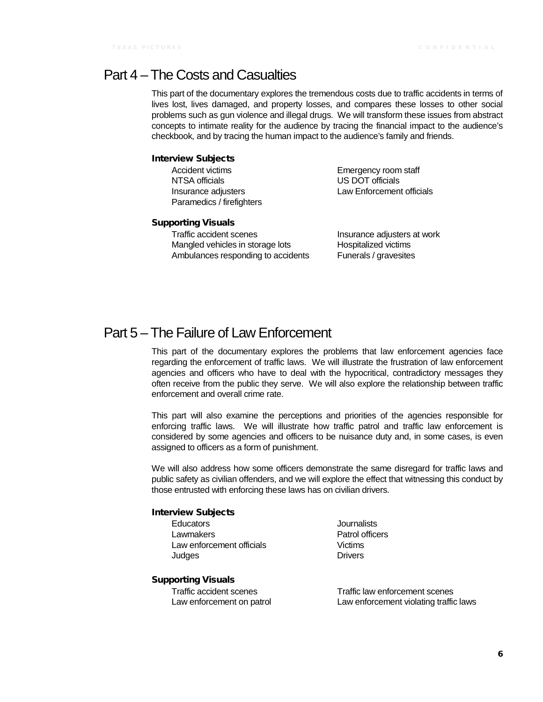# Part 4 – The Costs and Casualties

This part of the documentary explores the tremendous costs due to traffic accidents in terms of lives lost, lives damaged, and property losses, and compares these losses to other social problems such as gun violence and illegal drugs. We will transform these issues from abstract concepts to intimate reality for the audience by tracing the financial impact to the audience's checkbook, and by tracing the human impact to the audience's family and friends.

#### Interview Subjects

Accident victims NTSA officials Insurance adjusters Paramedics / firefighters Emergency room staff US DOT officials Law Enforcement officials

#### Supporting Visuals

Traffic accident scenes Mangled vehicles in storage lots Ambulances responding to accidents Insurance adjusters at work Hospitalized victims Funerals / gravesites

# Part 5 – The Failure of Law Enforcement

This part of the documentary explores the problems that law enforcement agencies face regarding the enforcement of traffic laws. We will illustrate the frustration of law enforcement agencies and officers who have to deal with the hypocritical, contradictory messages they often receive from the public they serve. We will also explore the relationship between traffic enforcement and overall crime rate.

This part will also examine the perceptions and priorities of the agencies responsible for enforcing traffic laws. We will illustrate how traffic patrol and traffic law enforcement is considered by some agencies and officers to be nuisance duty and, in some cases, is even assigned to officers as a form of punishment.

We will also address how some officers demonstrate the same disregard for traffic laws and public safety as civilian offenders, and we will explore the effect that witnessing this conduct by those entrusted with enforcing these laws has on civilian drivers.

#### Interview Subjects

Educators **Lawmakers** Law enforcement officials Judges

Supporting Visuals

Traffic accident scenes Law enforcement on patrol **Journalists** Patrol officers Victims **Drivers** 

Traffic law enforcement scenes Law enforcement violating traffic laws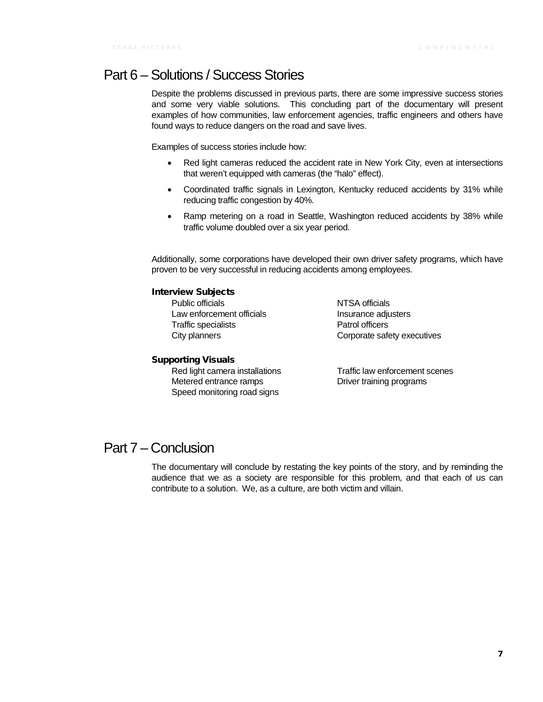# Part 6 – Solutions / Success Stories

Despite the problems discussed in previous parts, there are some impressive success stories and some very viable solutions. This concluding part of the documentary will present examples of how communities, law enforcement agencies, traffic engineers and others have found ways to reduce dangers on the road and save lives.

Examples of success stories include how:

- Red light cameras reduced the accident rate in New York City, even at intersections that weren't equipped with cameras (the "halo" effect).
- Coordinated traffic signals in Lexington, Kentucky reduced accidents by 31% while reducing traffic congestion by 40%.
- Ramp metering on a road in Seattle, Washington reduced accidents by 38% while traffic volume doubled over a six year period.

Additionally, some corporations have developed their own driver safety programs, which have proven to be very successful in reducing accidents among employees.

#### Interview Subjects

Public officials Law enforcement officials Traffic specialists City planners

NTSA officials Insurance adjusters Patrol officers Corporate safety executives

#### Supporting Visuals

Red light camera installations Metered entrance ramps Speed monitoring road signs

Traffic law enforcement scenes Driver training programs

### Part 7 – Conclusion

The documentary will conclude by restating the key points of the story, and by reminding the audience that we as a society are responsible for this problem, and that each of us can contribute to a solution. We, as a culture, are both victim and villain.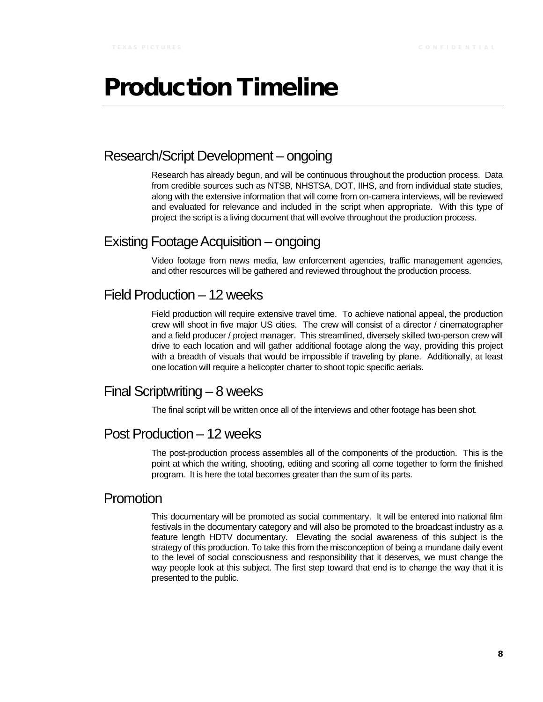# Production Timeline

## Research/Script Development – ongoing

Research has already begun, and will be continuous throughout the production process. Data from credible sources such as NTSB, NHSTSA, DOT, IIHS, and from individual state studies, along with the extensive information that will come from on-camera interviews, will be reviewed and evaluated for relevance and included in the script when appropriate. With this type of project the script is a living document that will evolve throughout the production process.

# Existing Footage Acquisition – ongoing

Video footage from news media, law enforcement agencies, traffic management agencies, and other resources will be gathered and reviewed throughout the production process.

# Field Production – 12 weeks

Field production will require extensive travel time. To achieve national appeal, the production crew will shoot in five major US cities. The crew will consist of a director / cinematographer and a field producer / project manager. This streamlined, diversely skilled two-person crew will drive to each location and will gather additional footage along the way, providing this project with a breadth of visuals that would be impossible if traveling by plane. Additionally, at least one location will require a helicopter charter to shoot topic specific aerials.

# Final Scriptwriting – 8 weeks

The final script will be written once all of the interviews and other footage has been shot.

# Post Production – 12 weeks

The post-production process assembles all of the components of the production. This is the point at which the writing, shooting, editing and scoring all come together to form the finished program. It is here the total becomes greater than the sum of its parts.

### Promotion

This documentary will be promoted as social commentary. It will be entered into national film festivals in the documentary category and will also be promoted to the broadcast industry as a feature length HDTV documentary. Elevating the social awareness of this subject is the strategy of this production. To take this from the misconception of being a mundane daily event to the level of social consciousness and responsibility that it deserves, we must change the way people look at this subject. The first step toward that end is to change the way that it is presented to the public.